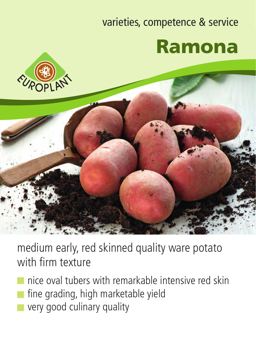## varieties, competence & service

## Ramona





medium early, red skinned quality ware potato with firm texture

- nice oval tubers with remarkable intensive red skin
- fine grading, high marketable yield
- very good culinary quality